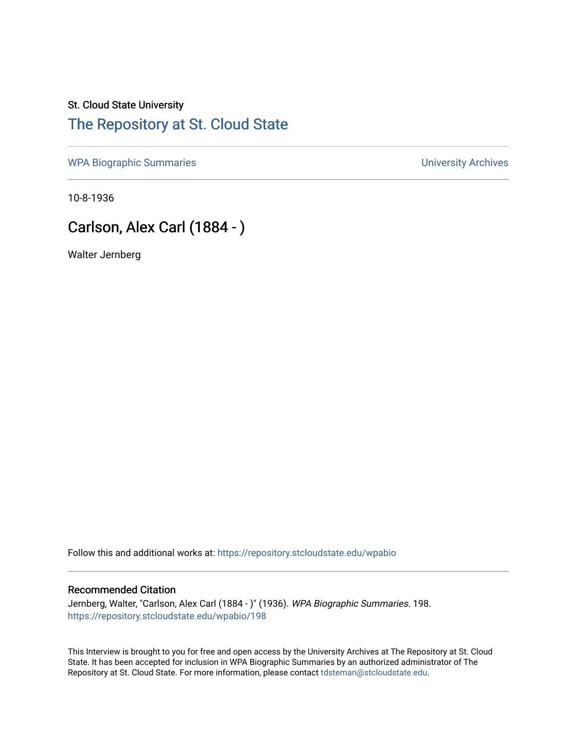# St. Cloud State University [The Repository at St. Cloud State](https://repository.stcloudstate.edu/)

[WPA Biographic Summaries](https://repository.stcloudstate.edu/wpabio) **WPA Biographic Summaries University Archives** 

10-8-1936

# Carlson, Alex Carl (1884 - )

Walter Jernberg

Follow this and additional works at: [https://repository.stcloudstate.edu/wpabio](https://repository.stcloudstate.edu/wpabio?utm_source=repository.stcloudstate.edu%2Fwpabio%2F198&utm_medium=PDF&utm_campaign=PDFCoverPages) 

#### Recommended Citation

Jernberg, Walter, "Carlson, Alex Carl (1884 - )" (1936). WPA Biographic Summaries. 198. [https://repository.stcloudstate.edu/wpabio/198](https://repository.stcloudstate.edu/wpabio/198?utm_source=repository.stcloudstate.edu%2Fwpabio%2F198&utm_medium=PDF&utm_campaign=PDFCoverPages) 

This Interview is brought to you for free and open access by the University Archives at The Repository at St. Cloud State. It has been accepted for inclusion in WPA Biographic Summaries by an authorized administrator of The Repository at St. Cloud State. For more information, please contact [tdsteman@stcloudstate.edu.](mailto:tdsteman@stcloudstate.edu)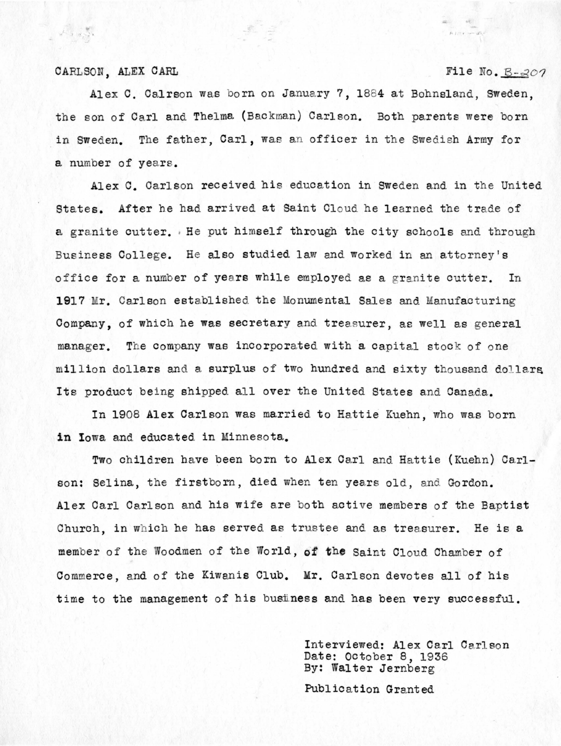### CARLSON, ALEX CARL  $File No. B-207$

 $, \ldots$ 

Alex C. Calrson was born on January 7, 1884 at Bohnsland, Sweden, the son of Carl and Thelma (Backman) Carlson. Both parents were born in Sweden. The father, Carl, was an officer in the Swedish Army for a number of years.

Alex C. Carlson received his education in Sweden and in the United States. After he had arrived at Saint Cloud he learned the trade of a granite cutter. , He put himself through the city schools and through Business College. He also studied law and worked in an attorney's office for a number of years while employed as a granite cutter. In **1917** Mr. Carlson established the Monumental Sales and Manufacturing Company, of which he was secretary and treasurer, as well as general manager. The company was incorporated with a capital stock of one million dollars and a surplus of two hundred and sixty thousand dollars Its product being shipped all over the United States and Canada.

In 1908 **Alex** Carlson was married to Hattie Kuehn, who was born **in** Iowa and educated in Minnesota.

Two children have been born to Alex Carl and Hattie (Kuehn) Carlson: Selina, the firstborn, died when ten years old, and Gordon. Alex Carl Carlson and his wife are both active members of the Baptist Church, in which he has served as trustee and as treasurer. He is a member of the Woodmen of the World, **cit the** Saint Cloud Chamber of Commerce, and of the Kiwanis Club. Mr. Carlson devotes all of his time to the management of his business and has been very successful.

> Interviewed: Alex Carl Carlson Date: October 8, 1936 By: Walter Jernberg

Publication Granted